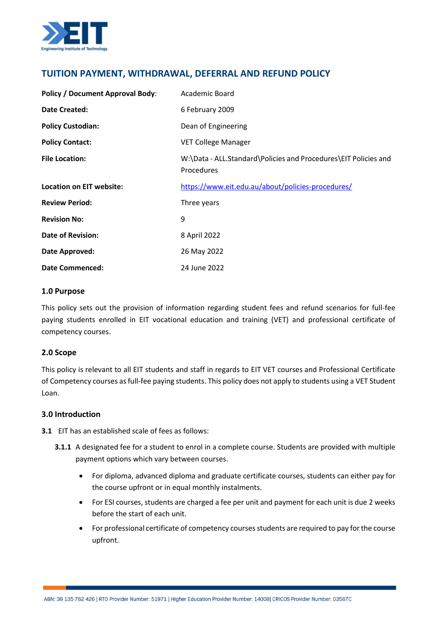

# **TUITION PAYMENT, WITHDRAWAL, DEFERRAL AND REFUND POLICY**

| <b>Policy / Document Approval Body:</b> | Academic Board                                                                       |
|-----------------------------------------|--------------------------------------------------------------------------------------|
| <b>Date Created:</b>                    | 6 February 2009                                                                      |
| <b>Policy Custodian:</b>                | Dean of Engineering                                                                  |
| <b>Policy Contact:</b>                  | <b>VET College Manager</b>                                                           |
| <b>File Location:</b>                   | W:\Data - ALL.Standard\Policies and Procedures\EIT Policies and<br><b>Procedures</b> |
| Location on EIT website:                | https://www.eit.edu.au/about/policies-procedures/                                    |
| <b>Review Period:</b>                   | Three years                                                                          |
| <b>Revision No:</b>                     | 9                                                                                    |
| <b>Date of Revision:</b>                | 8 April 2022                                                                         |
| Date Approved:                          | 26 May 2022                                                                          |
| <b>Date Commenced:</b>                  | 24 June 2022                                                                         |

#### **1.0 Purpose**

This policy sets out the provision of information regarding student fees and refund scenarios for full-fee paying students enrolled in EIT vocational education and training (VET) and professional certificate of competency courses.

## **2.0 Scope**

This policy is relevant to all EIT students and staff in regards to EIT VET courses and Professional Certificate of Competency courses as full-fee paying students. This policy does not apply to students using a VET Student Loan.

#### **3.0 Introduction**

**3.1** EIT has an established scale of fees as follows:

- **3.1.1** A designated fee for a student to enrol in a complete course. Students are provided with multiple payment options which vary between courses.
	- For diploma, advanced diploma and graduate certificate courses, students can either pay for the course upfront or in equal monthly instalments.
	- For ESI courses, students are charged a fee per unit and payment for each unit is due 2 weeks before the start of each unit.
	- For professional certificate of competency courses students are required to pay for the course upfront.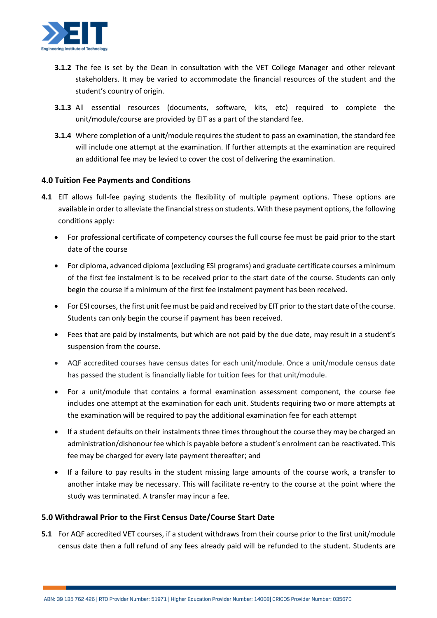

- **3.1.2** The fee is set by the Dean in consultation with the VET College Manager and other relevant stakeholders. It may be varied to accommodate the financial resources of the student and the student's country of origin.
- **3.1.3** All essential resources (documents, software, kits, etc) required to complete the unit/module/course are provided by EIT as a part of the standard fee.
- **3.1.4** Where completion of a unit/module requires the student to pass an examination, the standard fee will include one attempt at the examination. If further attempts at the examination are required an additional fee may be levied to cover the cost of delivering the examination.

#### **4.0 Tuition Fee Payments and Conditions**

- **4.1** EIT allows full-fee paying students the flexibility of multiple payment options. These options are available in order to alleviate the financial stress on students. With these payment options, the following conditions apply:
	- For professional certificate of competency courses the full course fee must be paid prior to the start date of the course
	- For diploma, advanced diploma (excluding ESI programs) and graduate certificate courses a minimum of the first fee instalment is to be received prior to the start date of the course. Students can only begin the course if a minimum of the first fee instalment payment has been received.
	- For ESI courses, the first unit fee must be paid and received by EIT prior to the start date of the course. Students can only begin the course if payment has been received.
	- Fees that are paid by instalments, but which are not paid by the due date, may result in a student's suspension from the course.
	- AQF accredited courses have census dates for each unit/module. Once a unit/module census date has passed the student is financially liable for tuition fees for that unit/module.
	- For a unit/module that contains a formal examination assessment component, the course fee includes one attempt at the examination for each unit. Students requiring two or more attempts at the examination will be required to pay the additional examination fee for each attempt
	- If a student defaults on their instalments three times throughout the course they may be charged an administration/dishonour fee which is payable before a student's enrolment can be reactivated. This fee may be charged for every late payment thereafter; and
	- If a failure to pay results in the student missing large amounts of the course work, a transfer to another intake may be necessary. This will facilitate re-entry to the course at the point where the study was terminated. A transfer may incur a fee.

## **5.0 Withdrawal Prior to the First Census Date/Course Start Date**

**5.1** For AQF accredited VET courses, if a student withdraws from their course prior to the first unit/module census date then a full refund of any fees already paid will be refunded to the student. Students are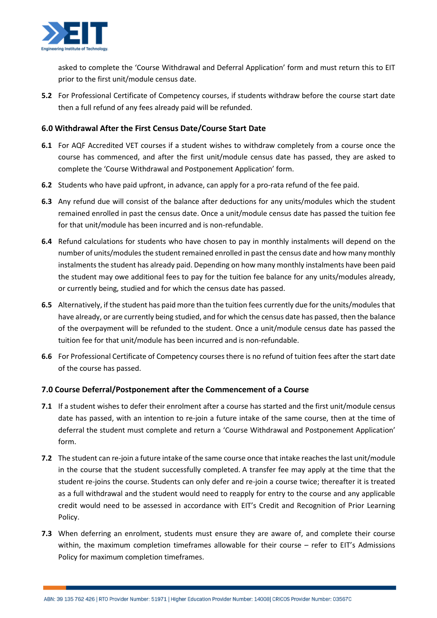

asked to complete the 'Course Withdrawal and Deferral Application' form and must return this to EIT prior to the first unit/module census date.

**5.2** For Professional Certificate of Competency courses, if students withdraw before the course start date then a full refund of any fees already paid will be refunded.

# **6.0 Withdrawal After the First Census Date/Course Start Date**

- **6.1** For AQF Accredited VET courses if a student wishes to withdraw completely from a course once the course has commenced, and after the first unit/module census date has passed, they are asked to complete the 'Course Withdrawal and Postponement Application' form.
- **6.2** Students who have paid upfront, in advance, can apply for a pro-rata refund of the fee paid.
- **6.3** Any refund due will consist of the balance after deductions for any units/modules which the student remained enrolled in past the census date. Once a unit/module census date has passed the tuition fee for that unit/module has been incurred and is non-refundable.
- **6.4** Refund calculations for students who have chosen to pay in monthly instalments will depend on the number of units/modules the student remained enrolled in past the census date and how many monthly instalments the student has already paid. Depending on how many monthly instalments have been paid the student may owe additional fees to pay for the tuition fee balance for any units/modules already, or currently being, studied and for which the census date has passed.
- **6.5** Alternatively, if the student has paid more than the tuition fees currently due for the units/modules that have already, or are currently being studied, and for which the census date has passed, then the balance of the overpayment will be refunded to the student. Once a unit/module census date has passed the tuition fee for that unit/module has been incurred and is non-refundable.
- **6.6** For Professional Certificate of Competency courses there is no refund of tuition fees after the start date of the course has passed.

## **7.0 Course Deferral/Postponement after the Commencement of a Course**

- **7.1** If a student wishes to defer their enrolment after a course has started and the first unit/module census date has passed, with an intention to re-join a future intake of the same course, then at the time of deferral the student must complete and return a 'Course Withdrawal and Postponement Application' form.
- **7.2** The student can re-join a future intake of the same course once that intake reaches the last unit/module in the course that the student successfully completed. A transfer fee may apply at the time that the student re-joins the course. Students can only defer and re-join a course twice; thereafter it is treated as a full withdrawal and the student would need to reapply for entry to the course and any applicable credit would need to be assessed in accordance with EIT's Credit and Recognition of Prior Learning Policy.
- **7.3** When deferring an enrolment, students must ensure they are aware of, and complete their course within, the maximum completion timeframes allowable for their course – refer to EIT's Admissions Policy for maximum completion timeframes.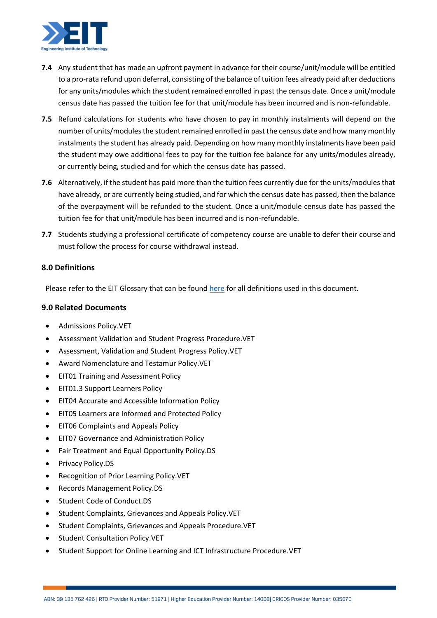

- **7.4** Any student that has made an upfront payment in advance for their course/unit/module will be entitled to a pro-rata refund upon deferral, consisting of the balance of tuition fees already paid after deductions for any units/modules which the student remained enrolled in past the census date. Once a unit/module census date has passed the tuition fee for that unit/module has been incurred and is non-refundable.
- **7.5** Refund calculations for students who have chosen to pay in monthly instalments will depend on the number of units/modules the student remained enrolled in past the census date and how many monthly instalments the student has already paid. Depending on how many monthly instalments have been paid the student may owe additional fees to pay for the tuition fee balance for any units/modules already, or currently being, studied and for which the census date has passed.
- **7.6** Alternatively, if the student has paid more than the tuition fees currently due for the units/modules that have already, or are currently being studied, and for which the census date has passed, then the balance of the overpayment will be refunded to the student. Once a unit/module census date has passed the tuition fee for that unit/module has been incurred and is non-refundable.
- **7.7** Students studying a professional certificate of competency course are unable to defer their course and must follow the process for course withdrawal instead.

## **8.0 Definitions**

Please refer to the EIT Glossary that can be found [here](https://www.eit.edu.au/policies/EIT_Training_Glossary.VET.HE.pdf) for all definitions used in this document.

#### **9.0 Related Documents**

- Admissions Policy.VET
- Assessment Validation and Student Progress Procedure.VET
- Assessment, Validation and Student Progress Policy.VET
- Award Nomenclature and Testamur Policy.VET
- EIT01 Training and Assessment Policy
- EIT01.3 Support Learners Policy
- EIT04 Accurate and Accessible Information Policy
- EIT05 Learners are Informed and Protected Policy
- EIT06 Complaints and Appeals Policy
- EIT07 Governance and Administration Policy
- Fair Treatment and Equal Opportunity Policy.DS
- Privacy Policy.DS
- Recognition of Prior Learning Policy.VET
- Records Management Policy.DS
- Student Code of Conduct.DS
- Student Complaints, Grievances and Appeals Policy.VET
- Student Complaints, Grievances and Appeals Procedure.VET
- Student Consultation Policy.VET
- Student Support for Online Learning and ICT Infrastructure Procedure.VET